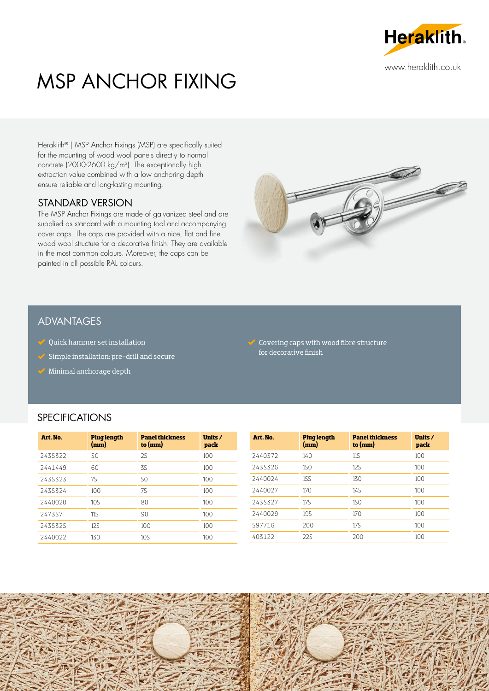

# MSP ANCHOR FIXING

Heraklith® | MSP Anchor Fixings (MSP) are specifically suited for the mounting of wood wool panels directly to normal concrete (2000-2600 kg/m3). The exceptionally high extraction value combined with a low anchoring depth ensure reliable and long-lasting mounting.

#### STANDARD VERSION

The MSP Anchor Fixings are made of galvanized steel and are supplied as standard with a mounting tool and accompanying cover caps. The caps are provided with a nice, flat and fine wood wool structure for a decorative finish. They are available in the most common colours. Moreover, the caps can be painted in all possible RAL colours.



#### ADVANTAGES

- $\mathscr Q$  Quick hammer set installation
- Simple installation: pre-drill and secure
- Minimal anchorage depth

 $\sqrt{\ }$  Covering caps with wood fibre structure for decorative finish

## SPECIFICATIONS

| Art. No. | <b>Plug length</b><br>(mm) | <b>Panel thickness</b><br>to $(mm)$ | Units /<br>pack | Art. No. |
|----------|----------------------------|-------------------------------------|-----------------|----------|
| 2435322  | 50                         | 25                                  | 100             | 2440372  |
| 2441449  | 60                         | 35                                  | 100             | 2435326  |
| 2435323  | 75                         | 50                                  | 100             | 2440024  |
| 2435324  | 100                        | 75                                  | 100             | 2440027  |
| 2440020  | 10.5                       | 80                                  | 100             | 2435327  |
| 247357   | 11.5                       | 90                                  | 100             | 2440029  |
| 2435325  | 125                        | 100                                 | 100             | 597716   |
| 2440022  | 130                        | 10.5                                | 100             | 403122   |

| Art. No. | <b>Plug length</b><br>(mm) | <b>Panel thickness</b><br>to $(mm)$ | Units /<br>pack |
|----------|----------------------------|-------------------------------------|-----------------|
| 2440372  | 140                        | 115                                 | 100             |
| 2435326  | 150                        | 125                                 | 100             |
| 2440024  | 155                        | 130                                 | 100             |
| 2440027  | 170                        | 145                                 | 100             |
| 2435327  | 175                        | 150                                 | 100             |
| 2440029  | 195                        | 170                                 | 100             |
| 597716   | 200                        | 175                                 | 100             |
| 403122   | 225                        | 200                                 | 100             |